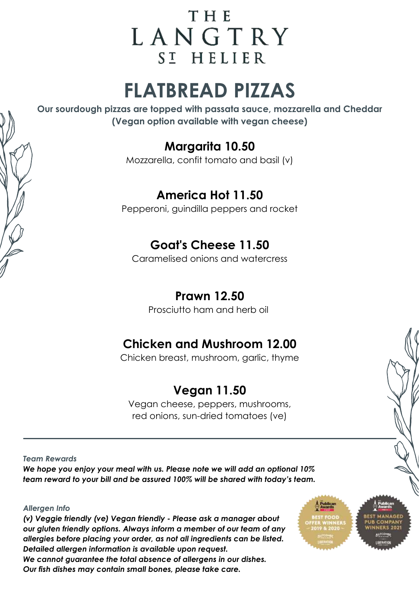## **THE** LANGTRY ST HELIER

# **FLATBREAD PIZZAS**

**Our sourdough pizzas are topped with passata sauce, mozzarella and Cheddar (Vegan option available with vegan cheese)**

#### **Margarita 10.50**

Mozzarella, confit tomato and basil (v)

#### **America Hot 11.50**

Pepperoni, guindilla peppers and rocket

#### **Goat's Cheese 11.50**

Caramelised onions and watercress

#### **Prawn 12.50**

Prosciutto ham and herb oil

#### **Chicken and Mushroom 12.00**

Chicken breast, mushroom, garlic, thyme

#### **Vegan 11.50**

Vegan cheese, peppers, mushrooms, red onions, sun-dried tomatoes (ve)

*Team Rewards* 

*We hope you enjoy your meal with us. Please note we will add an optional 10% team reward to your bill and be assured 100% will be shared with today's team.*

#### *Allergen Info*

*(v) Veggie friendly (ve) Vegan friendly - Please ask a manager about our gluten friendly options. Always inform a member of our team of any allergies before placing your order, as not all ingredients can be listed. Detailed allergen information is available upon request. We cannot guarantee the total absence of allergens in our dishes. Our fish dishes may contain small bones, please take care.*